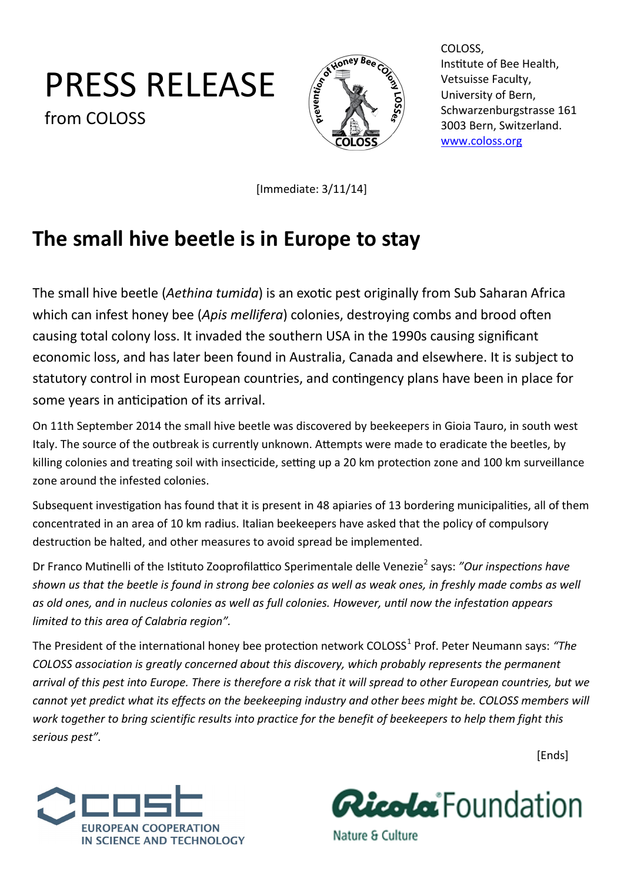## <span id="page-0-0"></span>PRESS RELEASE from COLOSS



COLOSS, Institute of Bee Health, Vetsuisse Faculty, University of Bern, Schwarzenburgstrasse 161 3003 Bern, Switzerland. [www.coloss.org](#page-0-0)

[Immediate: 3/11/14]

## **The small hive beetle is in Europe to stay**

The small hive beetle (*Aethina tumida*) is an exotic pest originally from Sub Saharan Africa which can infest honey bee (*Apis mellifera*) colonies, destroying combs and brood often causing total colony loss. It invaded the southern USA in the 1990s causing significant economic loss, and has later been found in Australia, Canada and elsewhere. It is subject to statutory control in most European countries, and contingency plans have been in place for some years in anticipation of its arrival.

On 11th September 2014 the small hive beetle was discovered by beekeepers in Gioia Tauro, in south west Italy. The source of the outbreak is currently unknown. Attempts were made to eradicate the beetles, by killing colonies and treating soil with insecticide, setting up a 20 km protection zone and 100 km surveillance zone around the infested colonies.

Subsequent investigation has found that it is present in 48 apiaries of 13 bordering municipalities, all of them concentrated in an area of 10 km radius. Italian beekeepers have asked that the policy of compulsory destruction be halted, and other measures to avoid spread be implemented.

Dr Franco Mutinelli of the Istituto Zooprofilattico Sperimentale delle Venezie<sup>2</sup> says: "Our inspections have *shown us that the beetle is found in strong bee colonies as well as weak ones, in freshly made combs as well as old ones, and in nucleus colonies as well as full colonies. However, until now the infestation appears limited to this area of Calabria region".* 

The President of the international honey bee protection network COLOSS<sup>1</sup> Prof. Peter Neumann says: "The *COLOSS association is greatly concerned about this discovery, which probably represents the permanent arrival of this pest into Europe. There is therefore a risk that it will spread to other European countries, but we cannot yet predict what its effects on the beekeeping industry and other bees might be. COLOSS members will work together to bring scientific results into practice for the benefit of beekeepers to help them fight this serious pest".*

[Ends]





Nature & Culture